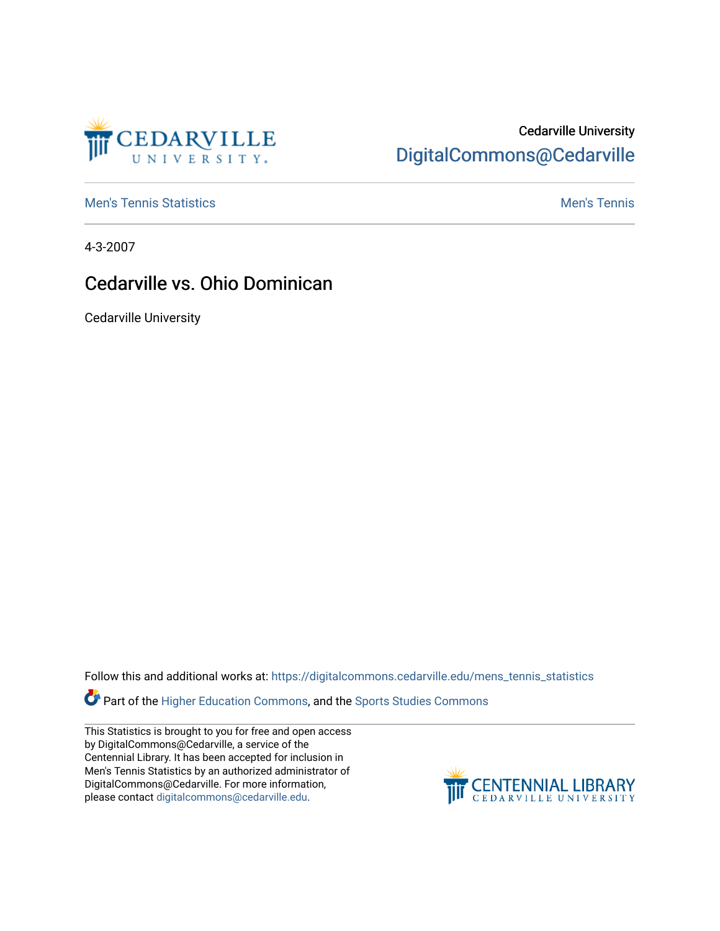

## Cedarville University [DigitalCommons@Cedarville](https://digitalcommons.cedarville.edu/)

**[Men's Tennis Statistics](https://digitalcommons.cedarville.edu/mens_tennis_statistics) Mental According to the Control of Control According Mental Men's Tennis** 

4-3-2007

## Cedarville vs. Ohio Dominican

Cedarville University

Follow this and additional works at: [https://digitalcommons.cedarville.edu/mens\\_tennis\\_statistics](https://digitalcommons.cedarville.edu/mens_tennis_statistics?utm_source=digitalcommons.cedarville.edu%2Fmens_tennis_statistics%2F684&utm_medium=PDF&utm_campaign=PDFCoverPages)

**Part of the [Higher Education Commons,](http://network.bepress.com/hgg/discipline/1245?utm_source=digitalcommons.cedarville.edu%2Fmens_tennis_statistics%2F684&utm_medium=PDF&utm_campaign=PDFCoverPages) and the Sports Studies Commons** 

This Statistics is brought to you for free and open access by DigitalCommons@Cedarville, a service of the Centennial Library. It has been accepted for inclusion in Men's Tennis Statistics by an authorized administrator of DigitalCommons@Cedarville. For more information, please contact [digitalcommons@cedarville.edu](mailto:digitalcommons@cedarville.edu).